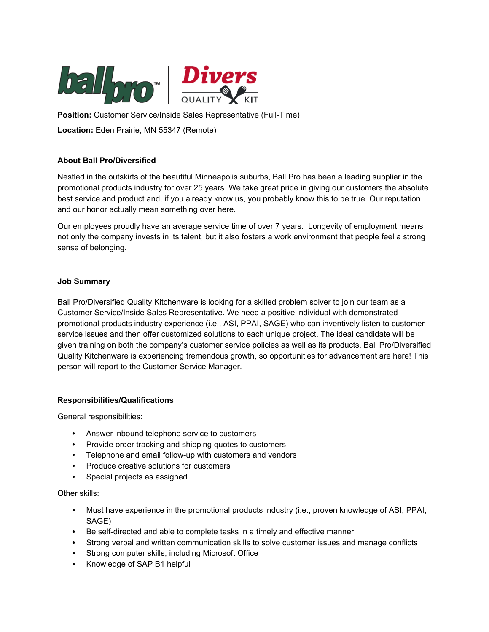

**Position:** Customer Service/Inside Sales Representative (Full-Time) **Location:** Eden Prairie, MN 55347 (Remote)

# **About Ball Pro/Diversified**

Nestled in the outskirts of the beautiful Minneapolis suburbs, Ball Pro has been a leading supplier in the promotional products industry for over 25 years. We take great pride in giving our customers the absolute best service and product and, if you already know us, you probably know this to be true. Our reputation and our honor actually mean something over here.

Our employees proudly have an average service time of over 7 years. Longevity of employment means not only the company invests in its talent, but it also fosters a work environment that people feel a strong sense of belonging.

## **Job Summary**

Ball Pro/Diversified Quality Kitchenware is looking for a skilled problem solver to join our team as a Customer Service/Inside Sales Representative. We need a positive individual with demonstrated promotional products industry experience (i.e., ASI, PPAI, SAGE) who can inventively listen to customer service issues and then offer customized solutions to each unique project. The ideal candidate will be given training on both the company's customer service policies as well as its products. Ball Pro/Diversified Quality Kitchenware is experiencing tremendous growth, so opportunities for advancement are here! This person will report to the Customer Service Manager.

### **Responsibilities/Qualifications**

General responsibilities:

- Answer inbound telephone service to customers
- Provide order tracking and shipping quotes to customers
- Telephone and email follow-up with customers and vendors
- Produce creative solutions for customers
- Special projects as assigned

Other skills:

- Must have experience in the promotional products industry (i.e., proven knowledge of ASI, PPAI, SAGE)
- Be self-directed and able to complete tasks in a timely and effective manner
- Strong verbal and written communication skills to solve customer issues and manage conflicts
- Strong computer skills, including Microsoft Office
- Knowledge of SAP B1 helpful